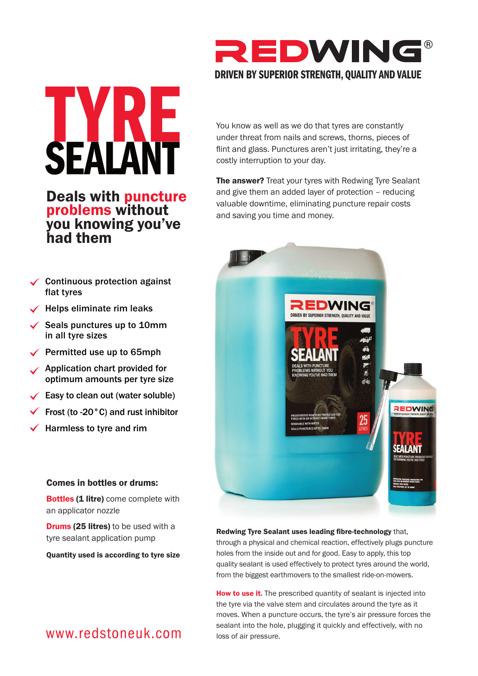

You know as well as we do that tyres are constantly under threat from nails and screws, thorns, pieces of flint and glass. Punctures aren't just irritating, they're a costly interruption to your day.

The answer? Treat your tyres with Redwing Tyre Sealant and give them an added layer of protection – reducing valuable downtime, eliminating puncture repair costs and saving you time and money.

> as) 画 dé

> > REDWING

**FAI ANT** 

## $\checkmark$  Continuous protection against EDWING  $\checkmark$  Helps eliminate rim leaks DRIVEN BY SUPERIOR STRENGTH, QUALITY AND VALUE  $\checkmark$  Seals punctures up to 10mm

Permitted use up to 65mph

flat tyres

in all tyre sizes

had them

Application chart provided for optimum amounts per tyre size

Deals with puncture

problems without you knowing you've

**SEALANT** 

- $\checkmark$  Easy to clean out (water soluble)
- Frost (to -20°C) and rust inhibitor
- Harmless to tyre and rim

### Comes in bottles or drums:

**Bottles (1 litre)** come complete with an applicator nozzle

**Drums (25 litres)** to be used with a tyre sealant application pump

Quantity used is according to tyre size

Redwing Tyre Sealant uses leading fibre-technology that, through a physical and chemical reaction, effectively plugs puncture holes from the inside out and for good. Easy to apply, this top quality sealant is used effectively to protect tyres around the world, from the biggest earthmovers to the smallest ride-on-mowers.

**How to use it.** The prescribed quantity of sealant is injected into the tyre via the valve stem and circulates around the tyre as it moves. When a puncture occurs, the tyre's air pressure forces the sealant into the hole, plugging it quickly and effectively, with no loss of air pressure.

## www.redstoneuk.com